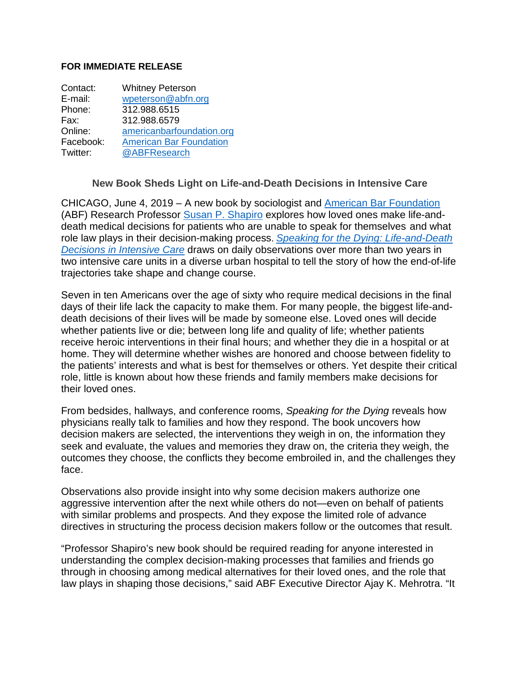## **FOR IMMEDIATE RELEASE**

| Contact:  | <b>Whitney Peterson</b>        |
|-----------|--------------------------------|
| E-mail:   | wpeterson@abfn.org             |
| Phone:    | 312.988.6515                   |
| Fax:      | 312.988.6579                   |
| Online:   | americanbarfoundation.org      |
| Facebook: | <b>American Bar Foundation</b> |
| Twitter:  | @ABFResearch                   |

## **New Book Sheds Light on Life-and-Death Decisions in Intensive Care**

CHICAGO, June 4, 2019 – A new book by sociologist and [American Bar Foundation](http://www.americanbarfoundation.org/index.html) (ABF) Research Professor Susan P. [Shapiro](http://www.americanbarfoundation.org/faculty/profile/23) explores how loved ones make life-anddeath medical decisions for patients who are unable to speak for themselves and what role law plays in their decision-making process. *[Speaking for the Dying: Life-and-Death](http://www.americanbarfoundation.org/publications/1045)  [Decisions in Intensive Care](http://www.americanbarfoundation.org/publications/1045)* draws on daily observations over more than two years in two intensive care units in a diverse urban hospital to tell the story of how the end-of-life trajectories take shape and change course.

Seven in ten Americans over the age of sixty who require medical decisions in the final days of their life lack the capacity to make them. For many people, the biggest life-anddeath decisions of their lives will be made by someone else. Loved ones will decide whether patients live or die; between long life and quality of life; whether patients receive heroic interventions in their final hours; and whether they die in a hospital or at home. They will determine whether wishes are honored and choose between fidelity to the patients' interests and what is best for themselves or others. Yet despite their critical role, little is known about how these friends and family members make decisions for their loved ones.

From bedsides, hallways, and conference rooms, *Speaking for the Dying* reveals how physicians really talk to families and how they respond. The book uncovers how decision makers are selected, the interventions they weigh in on, the information they seek and evaluate, the values and memories they draw on, the criteria they weigh, the outcomes they choose, the conflicts they become embroiled in, and the challenges they face.

Observations also provide insight into why some decision makers authorize one aggressive intervention after the next while others do not—even on behalf of patients with similar problems and prospects. And they expose the limited role of advance directives in structuring the process decision makers follow or the outcomes that result.

"Professor Shapiro's new book should be required reading for anyone interested in understanding the complex decision-making processes that families and friends go through in choosing among medical alternatives for their loved ones, and the role that law plays in shaping those decisions," said ABF Executive Director Ajay K. Mehrotra. "It